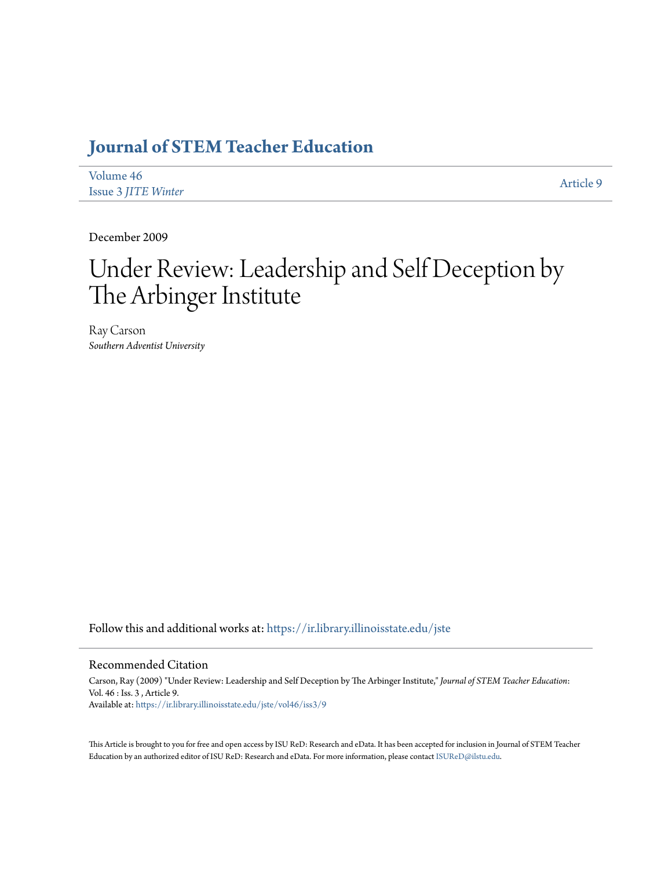## **[Journal of STEM Teacher Education](https://ir.library.illinoisstate.edu/jste?utm_source=ir.library.illinoisstate.edu%2Fjste%2Fvol46%2Fiss3%2F9&utm_medium=PDF&utm_campaign=PDFCoverPages)**

| Volume 46                  | Article 9 |
|----------------------------|-----------|
| <b>Issue 3 JITE Winter</b> |           |

December 2009

## Under Review: Leadership and Self Deception by The Arbinger Institute

Ray Carson *Southern Adventist University*

Follow this and additional works at: [https://ir.library.illinoisstate.edu/jste](https://ir.library.illinoisstate.edu/jste?utm_source=ir.library.illinoisstate.edu%2Fjste%2Fvol46%2Fiss3%2F9&utm_medium=PDF&utm_campaign=PDFCoverPages)

## Recommended Citation

Carson, Ray (2009) "Under Review: Leadership and Self Deception by The Arbinger Institute," *Journal of STEM Teacher Education*: Vol. 46 : Iss. 3 , Article 9. Available at: [https://ir.library.illinoisstate.edu/jste/vol46/iss3/9](https://ir.library.illinoisstate.edu/jste/vol46/iss3/9?utm_source=ir.library.illinoisstate.edu%2Fjste%2Fvol46%2Fiss3%2F9&utm_medium=PDF&utm_campaign=PDFCoverPages)

This Article is brought to you for free and open access by ISU ReD: Research and eData. It has been accepted for inclusion in Journal of STEM Teacher Education by an authorized editor of ISU ReD: Research and eData. For more information, please contact [ISUReD@ilstu.edu.](mailto:ISUReD@ilstu.edu)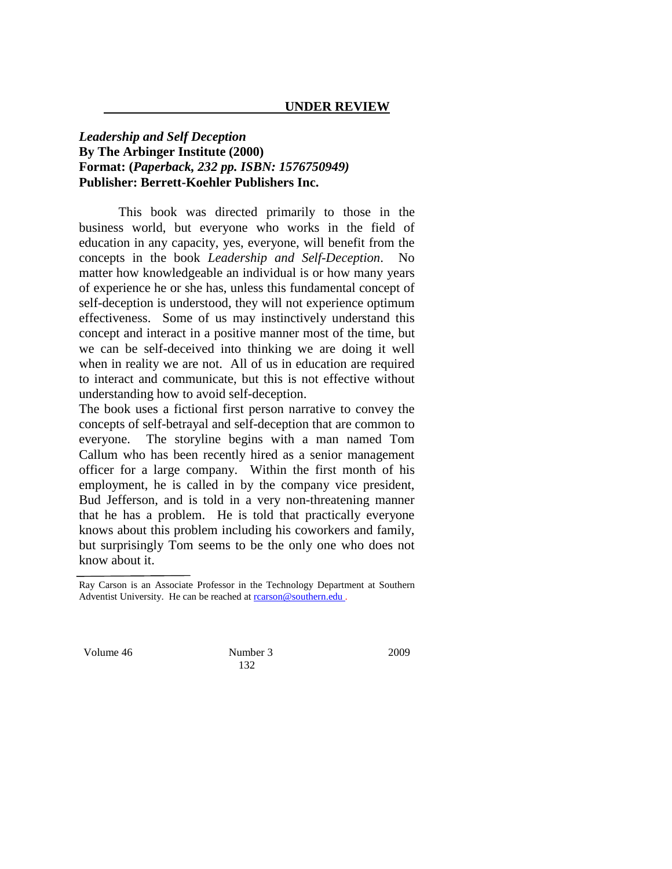## *Leadership and Self Deception* **By The Arbinger Institute (2000) Format: (***Paperback, 232 pp. ISBN: 1576750949)* **Publisher: Berrett-Koehler Publishers Inc.**

This book was directed primarily to those in the business world, but everyone who works in the field of education in any capacity, yes, everyone, will benefit from the concepts in the book *Leadership and Self-Deception*. No matter how knowledgeable an individual is or how many years of experience he or she has, unless this fundamental concept of self-deception is understood, they will not experience optimum effectiveness. Some of us may instinctively understand this concept and interact in a positive manner most of the time, but we can be self-deceived into thinking we are doing it well when in reality we are not. All of us in education are required to interact and communicate, but this is not effective without understanding how to avoid self-deception.

The book uses a fictional first person narrative to convey the concepts of self-betrayal and self-deception that are common to everyone. The storyline begins with a man named Tom Callum who has been recently hired as a senior management officer for a large company. Within the first month of his employment, he is called in by the company vice president, Bud Jefferson, and is told in a very non-threatening manner that he has a problem. He is told that practically everyone knows about this problem including his coworkers and family, but surprisingly Tom seems to be the only one who does not know about it.

Volume 46 Number 3 2009

132

Ray Carson is an Associate Professor in the Technology Department at Southern Adventist University. He can be reached at [rcarson@southern.edu .](mailto:rcarson@southern.edu)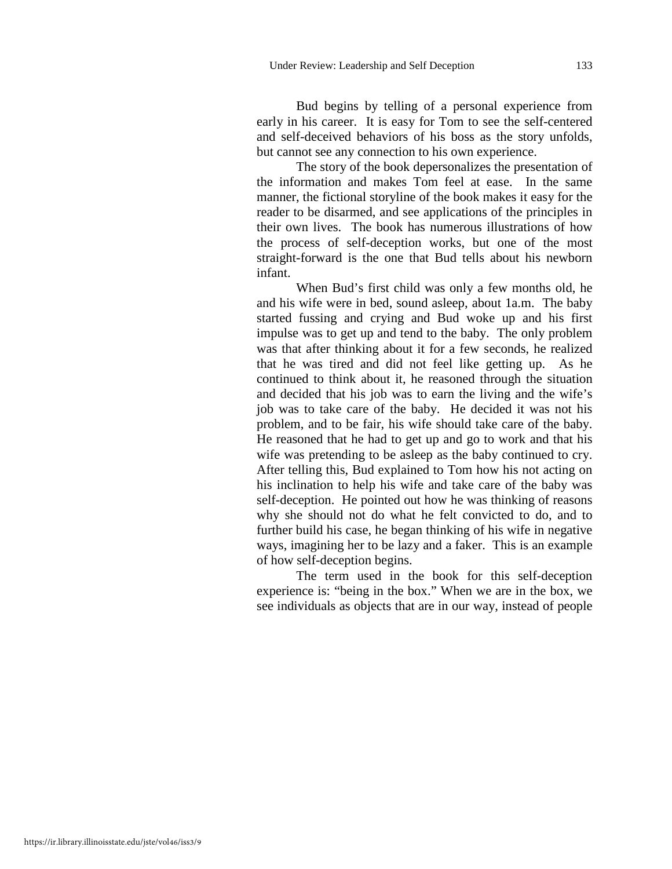Bud begins by telling of a personal experience from early in his career. It is easy for Tom to see the self-centered and self-deceived behaviors of his boss as the story unfolds, but cannot see any connection to his own experience.

The story of the book depersonalizes the presentation of the information and makes Tom feel at ease. In the same manner, the fictional storyline of the book makes it easy for the reader to be disarmed, and see applications of the principles in their own lives. The book has numerous illustrations of how the process of self-deception works, but one of the most straight-forward is the one that Bud tells about his newborn infant.

When Bud's first child was only a few months old, he and his wife were in bed, sound asleep, about 1a.m. The baby started fussing and crying and Bud woke up and his first impulse was to get up and tend to the baby. The only problem was that after thinking about it for a few seconds, he realized that he was tired and did not feel like getting up. As he continued to think about it, he reasoned through the situation and decided that his job was to earn the living and the wife's job was to take care of the baby. He decided it was not his problem, and to be fair, his wife should take care of the baby. He reasoned that he had to get up and go to work and that his wife was pretending to be asleep as the baby continued to cry. After telling this, Bud explained to Tom how his not acting on his inclination to help his wife and take care of the baby was self-deception. He pointed out how he was thinking of reasons why she should not do what he felt convicted to do, and to further build his case, he began thinking of his wife in negative ways, imagining her to be lazy and a faker. This is an example of how self-deception begins.

The term used in the book for this self-deception experience is: "being in the box." When we are in the box, we see individuals as objects that are in our way, instead of people